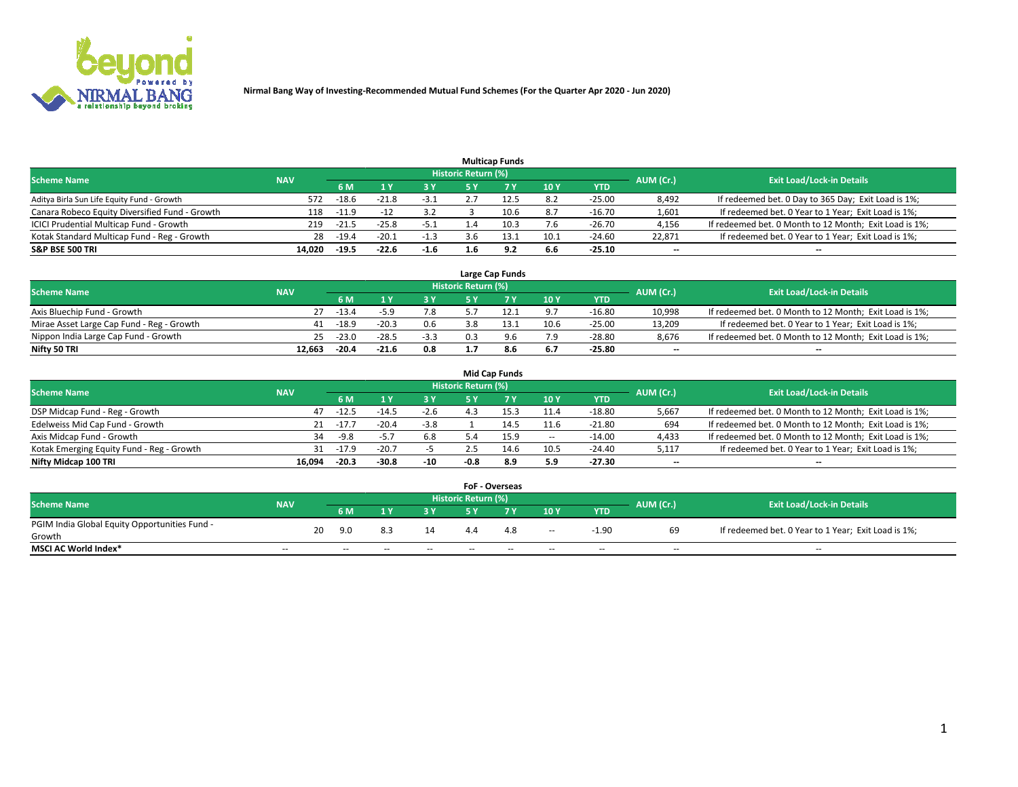

|                                                |            |         |         |        |                     | <b>Multicap Funds</b> |      |          |                          |                                                        |
|------------------------------------------------|------------|---------|---------|--------|---------------------|-----------------------|------|----------|--------------------------|--------------------------------------------------------|
| <b>Scheme Name</b>                             | <b>NAV</b> |         |         |        | Historic Return (%) |                       |      |          | AUM (Cr.)                | <b>Exit Load/Lock-in Details</b>                       |
|                                                |            | 6 M     |         | 3 Y    | 5 Y                 |                       | 10Y  | YTD      |                          |                                                        |
| Aditya Birla Sun Life Equity Fund - Growth     | 572        | $-18.6$ | $-21.8$ | -3.1   |                     | 12.5                  | 8.2  | $-25.00$ | 8,492                    | If redeemed bet. 0 Day to 365 Day; Exit Load is 1%;    |
| Canara Robeco Equity Diversified Fund - Growth | 118        | $-11.9$ | $-12$   | 3.2    |                     | 10.6                  | 8.7  | $-16.70$ | 1,601                    | If redeemed bet. 0 Year to 1 Year; Exit Load is 1%;    |
| ICICI Prudential Multicap Fund - Growth        | 219        | $-21.5$ | $-25.8$ | $-5.1$ |                     | 10.3                  | 7.6  | $-26.70$ | 4,156                    | If redeemed bet. 0 Month to 12 Month; Exit Load is 1%; |
| Kotak Standard Multicap Fund - Reg - Growth    | 28         | $-19.4$ | $-20.1$ | $-1.3$ |                     | 13.1                  | 10.1 | $-24.60$ | 22.871                   | If redeemed bet. 0 Year to 1 Year; Exit Load is 1%;    |
| <b>S&amp;P BSE 500 TRI</b>                     | 14.020     | $-19.5$ | $-22.6$ | $-1.6$ |                     | 9.2                   | 6.6  | $-25.10$ | $\overline{\phantom{a}}$ | --                                                     |

|                                           |            |         |         |        |                     | Large Cap Funds |      |            |           |                                                        |
|-------------------------------------------|------------|---------|---------|--------|---------------------|-----------------|------|------------|-----------|--------------------------------------------------------|
| <b>Scheme Name</b>                        | <b>NAV</b> |         |         |        | Historic Return (%) |                 |      |            | AUM (Cr.) | <b>Exit Load/Lock-in Details</b>                       |
|                                           |            | 6 M     |         | 3 Y.   | 5 ٧                 |                 | 10Y  | <b>YTD</b> |           |                                                        |
| Axis Bluechip Fund - Growth               |            | -13.4   |         | 7.8    |                     | 12.2            | 9.7  | $-16.80$   | 10,998    | If redeemed bet. 0 Month to 12 Month; Exit Load is 1%; |
| Mirae Asset Large Cap Fund - Reg - Growth | 41         | $-18.9$ | $-20.3$ | 0.6    |                     | 13.1            | 10.6 | $-25.00$   | 13.209    | If redeemed bet. 0 Year to 1 Year; Exit Load is 1%;    |
| Nippon India Large Cap Fund - Growth      | 25.        | $-23.0$ | $-28.5$ | $-3.3$ |                     | 9.6             | 7.9  | $-28.80$   | 8.676     | If redeemed bet. 0 Month to 12 Month; Exit Load is 1%; |
| Nifty 50 TRI                              | 12.663     | -20.4   | $-21.6$ | 0.8    |                     | 8.6             | 6.7  | $-25.80$   | $- -$     | $\overline{\phantom{a}}$                               |

|                                           |            |               |         |        |                            | <b>Mid Cap Funds</b> |       |            |                          |                                                        |
|-------------------------------------------|------------|---------------|---------|--------|----------------------------|----------------------|-------|------------|--------------------------|--------------------------------------------------------|
| <b>Scheme Name</b>                        | <b>NAV</b> |               |         |        | <b>Historic Return (%)</b> |                      |       |            | AUM (Cr.)                | <b>Exit Load/Lock-in Details</b>                       |
|                                           |            | 6 M           |         | 3 Y    | 5 Y                        |                      | 10 Y  | <b>YTD</b> |                          |                                                        |
| DSP Midcap Fund - Reg - Growth            | 47         | $-12.5$       | -14.5   | $-2.6$ |                            | 15.3                 | 11.4  | $-18.80$   | 5,667                    | If redeemed bet. 0 Month to 12 Month; Exit Load is 1%; |
| Edelweiss Mid Cap Fund - Growth           |            | $-17.7$<br>21 | $-20.4$ | $-3.8$ |                            | 14.5                 | 11.6  | $-21.80$   | 694                      | If redeemed bet. 0 Month to 12 Month; Exit Load is 1%; |
| Axis Midcap Fund - Growth                 | 34         | $-9.8$        | $-5.7$  | 6.8    |                            | 15.9                 | $\!-$ | $-14.00$   | 4,433                    | If redeemed bet. 0 Month to 12 Month; Exit Load is 1%; |
| Kotak Emerging Equity Fund - Reg - Growth | 31         | $-17.9$       | $-20.7$ |        | 2.5                        | 14.6                 | 10.5  | $-24.40$   | 5,117                    | If redeemed bet. 0 Year to 1 Year; Exit Load is 1%;    |
| Nifty Midcap 100 TRI                      | 16.094     | $-20.3$       | $-30.8$ | -10    | -0.8                       | 8.9                  | 5.9   | $-27.30$   | $\overline{\phantom{m}}$ | $- -$                                                  |

|                                               |                          |    |        |        |        |                            | <b>FoF - Overseas</b> |                          |            |            |                                                     |
|-----------------------------------------------|--------------------------|----|--------|--------|--------|----------------------------|-----------------------|--------------------------|------------|------------|-----------------------------------------------------|
| <b>Scheme Name</b>                            | <b>NAV</b>               |    |        |        |        | <b>Historic Return (%)</b> |                       |                          |            | AUM (Cr.)  | <b>Exit Load/Lock-in Details</b>                    |
|                                               |                          |    | 6 M    |        | 2V     | E V                        |                       | 10Y                      | <b>YTD</b> |            |                                                     |
| PGIM India Global Equity Opportunities Fund - |                          | 20 | 9.0    | 8.3    | 14     | 4.4                        | 4.8                   |                          | $-1.90$    | 69         | If redeemed bet. 0 Year to 1 Year; Exit Load is 1%; |
| Growth                                        |                          |    |        |        |        |                            |                       | $\overline{\phantom{a}}$ |            |            |                                                     |
| <b>MSCI AC World Index*</b>                   | $\overline{\phantom{a}}$ |    | $\sim$ | $\sim$ | $\sim$ | $\sim$                     | $- -$                 | $\overline{\phantom{a}}$ | $\sim$     | $\sim$ $-$ | $\overline{\phantom{a}}$                            |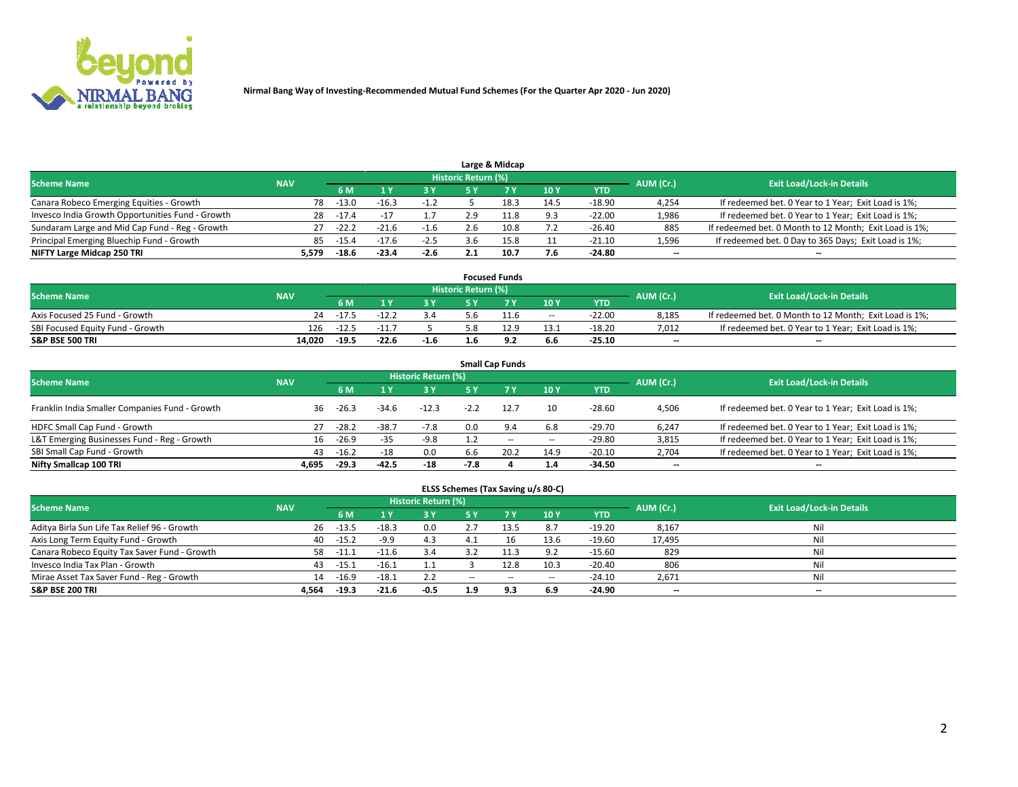

|                                                  |            |         |         |        |                     | Large & Midcap |      |          |           |                                                        |
|--------------------------------------------------|------------|---------|---------|--------|---------------------|----------------|------|----------|-----------|--------------------------------------------------------|
| <b>Scheme Name</b>                               | <b>NAV</b> |         |         |        | Historic Return (%) |                |      |          | AUM (Cr.) | <b>Exit Load/Lock-in Details</b>                       |
|                                                  |            | 6 M     |         | 3 Y    |                     |                | 10Y  | YTD      |           |                                                        |
| Canara Robeco Emerging Equities - Growth         | 78         | $-13.0$ | $-16.3$ | $-1.2$ |                     | 18.3           | 14.5 | $-18.90$ | 4,254     | If redeemed bet. 0 Year to 1 Year; Exit Load is 1%;    |
| Invesco India Growth Opportunities Fund - Growth | 28         | $-17.4$ |         |        | 2.9                 | 11.8           | 9.3  | $-22.00$ | 1,986     | If redeemed bet. 0 Year to 1 Year; Exit Load is 1%;    |
| Sundaram Large and Mid Cap Fund - Reg - Growth   | 27         | $-22.2$ | $-21.6$ | $-1.6$ | 2.6                 | 10.8           | 7.2  | $-26.40$ | 885       | If redeemed bet. 0 Month to 12 Month; Exit Load is 1%; |
| Principal Emerging Bluechip Fund - Growth        | 85         | -15.4   |         | $-2.5$ | 3.6                 |                |      | $-21.10$ | 1,596     | If redeemed bet. 0 Day to 365 Days; Exit Load is 1%;   |
| NIFTY Large Midcap 250 TRI                       | 5.579      | $-18.6$ | $-23.4$ | $-2.6$ |                     | 10.7           | 7.6  | $-24.80$ | $- -$     | $\overline{\phantom{a}}$                               |

|                                  |            |         |         |        |                     | <b>Focused Funds</b> |        |            |           |                                                        |
|----------------------------------|------------|---------|---------|--------|---------------------|----------------------|--------|------------|-----------|--------------------------------------------------------|
| <b>Scheme Name</b>               | <b>NAV</b> |         |         |        | Historic Return (%) |                      |        |            | AUM (Cr.) | <b>Exit Load/Lock-in Details</b>                       |
|                                  |            | 6 M     |         |        |                     |                      | 10Y    | <b>YTD</b> |           |                                                        |
| Axis Focused 25 Fund - Growth    | 24         | $-17.5$ | $-12.2$ | 3.4    | ס.כ                 | 11.6                 | $\sim$ | $-22.00$   | 8.185     | If redeemed bet. 0 Month to 12 Month; Exit Load is 1%; |
| SBI Focused Equity Fund - Growth | 126        | $-12.5$ | $-11.$  |        |                     | 12.9                 | 13.1   | $-18.20$   | 7.012     | If redeemed bet. 0 Year to 1 Year; Exit Load is 1%;    |
| <b>S&amp;P BSE 500 TRI</b>       | 14.020     | $-19.5$ | $-22.6$ | $-1.6$ | 1.D                 | - -                  | 6.6    | $-25.10$   | $- -$     | $\overline{\phantom{a}}$                               |

| <b>Small Cap Funds</b>                                                                                          |       |         |         |         |        |           |       |            |                          |                                                     |  |  |  |  |
|-----------------------------------------------------------------------------------------------------------------|-------|---------|---------|---------|--------|-----------|-------|------------|--------------------------|-----------------------------------------------------|--|--|--|--|
| <b>Historic Return (%)</b><br><b>Exit Load/Lock-in Details</b><br><b>Scheme Name</b><br><b>NAV</b><br>AUM (Cr.) |       |         |         |         |        |           |       |            |                          |                                                     |  |  |  |  |
|                                                                                                                 |       | 6 M     |         | 3 Y     | 5 Y    | <b>7Y</b> | 10Y   | <b>YTD</b> |                          |                                                     |  |  |  |  |
| Franklin India Smaller Companies Fund - Growth                                                                  | 36    | $-26.3$ | $-34.6$ | $-12.3$ | $-2.2$ | 12.7      | 10    | $-28.60$   | 4,506                    | If redeemed bet. 0 Year to 1 Year; Exit Load is 1%; |  |  |  |  |
| HDFC Small Cap Fund - Growth                                                                                    |       | $-28.2$ | $-38.7$ | $-7.8$  | 0.0    | 9.4       | 6.8   | $-29.70$   | 6,247                    | If redeemed bet. 0 Year to 1 Year; Exit Load is 1%; |  |  |  |  |
| L&T Emerging Businesses Fund - Reg - Growth                                                                     | 16    | $-26.9$ | $-35$   | $-9.8$  |        | $- -$     | $\!-$ | $-29.80$   | 3,815                    | If redeemed bet. 0 Year to 1 Year; Exit Load is 1%; |  |  |  |  |
| SBI Small Cap Fund - Growth                                                                                     | 43    | $-16.2$ | $-18$   | 0.0     | b.b    | 20.2      | 14.9  | $-20.10$   | 2,704                    | If redeemed bet. 0 Year to 1 Year; Exit Load is 1%; |  |  |  |  |
| Nifty Smallcap 100 TRI                                                                                          | 4.695 | $-29.3$ | $-42.5$ | -18     | $-7.8$ |           | 1.4   | -34.50     | $\overline{\phantom{a}}$ | --                                                  |  |  |  |  |

## **ELSS Schemes (Tax Saving u/s 80-C)**

| <b>Scheme Name</b>                           | <b>NAV</b> |         |         | <b>Historic Return (%)</b> |       |      |                          |            | AUM (Cr.) | <b>Exit Load/Lock-in Details</b> |
|----------------------------------------------|------------|---------|---------|----------------------------|-------|------|--------------------------|------------|-----------|----------------------------------|
|                                              |            | 6 M     |         | <b>3Y</b>                  | 5 Y   |      | 10Y                      | <b>YTD</b> |           |                                  |
| Aditya Birla Sun Life Tax Relief 96 - Growth | 26         | $-13.5$ | $-18.3$ | 0.0                        | z.,   | 13.5 | 8.7                      | $-19.20$   | 8,167     | Nil                              |
| Axis Long Term Equity Fund - Growth          | 40         | $-15.2$ | $-9.9$  | 4.3                        | 4.1   |      | 13.6                     | $-19.60$   | 17,495    | Nil                              |
| Canara Robeco Equity Tax Saver Fund - Growth | 58         | $-11.1$ | $-11.6$ | 3.4                        |       |      | 9.2                      | $-15.60$   | 829       | Nil                              |
| Invesco India Tax Plan - Growth              | 43         | $-15.1$ | $-16.1$ | 1.1                        |       | 12.8 | 10.3                     | $-20.40$   | 806       | Nil                              |
| Mirae Asset Tax Saver Fund - Reg - Growth    | 14         | $-16.9$ | $-18.1$ | 2.2                        | $- -$ | $-$  | $\overline{\phantom{a}}$ | $-24.10$   | 2,671     | Nil                              |
| <b>S&amp;P BSE 200 TRI</b>                   | 4.564      | $-19.3$ | $-21.6$ | $-0.5$                     | 1.9   | 9.3  | 6.9                      | $-24.90$   | $- -$     | $-$                              |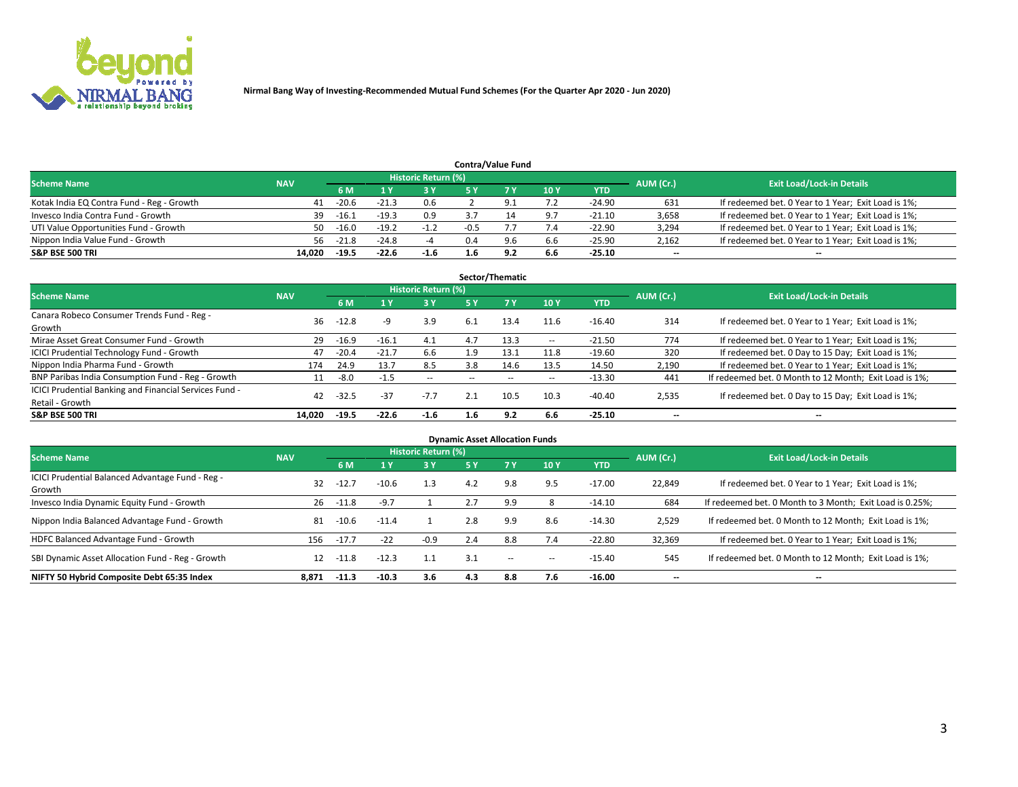

|                                           |            |                                  |         |        |        | <b>Contra/Value Fund</b> |     |            |       |                                                     |
|-------------------------------------------|------------|----------------------------------|---------|--------|--------|--------------------------|-----|------------|-------|-----------------------------------------------------|
| <b>Scheme Name</b>                        | AUM (Cr.)  | <b>Exit Load/Lock-in Details</b> |         |        |        |                          |     |            |       |                                                     |
|                                           | <b>NAV</b> | 6 M                              |         | 3 Y    |        |                          | 10Y | <b>YTD</b> |       |                                                     |
| Kotak India EQ Contra Fund - Reg - Growth | 41         | $-20.6$                          | $-21.3$ | 0.6    |        |                          | 7.2 | $-24.90$   | 631   | If redeemed bet. 0 Year to 1 Year; Exit Load is 1%; |
| Invesco India Contra Fund - Growth        | 39         | $-16.1$                          | $-19.3$ | 0.9    |        |                          |     | $-21.10$   | 3,658 | If redeemed bet. 0 Year to 1 Year; Exit Load is 1%; |
| UTI Value Opportunities Fund - Growth     | 50         | $-16.0$                          | $-19.2$ | $-1.2$ | $-0.5$ |                          | 7.4 | $-22.90$   | 3,294 | If redeemed bet. 0 Year to 1 Year; Exit Load is 1%; |
| Nippon India Value Fund - Growth          | 56.        | $-21.8$                          | $-24.8$ |        | 0.4    | 9.6                      | 6.6 | $-25.90$   | 2,162 | If redeemed bet. 0 Year to 1 Year; Exit Load is 1%; |
| <b>S&amp;P BSE 500 TRI</b>                | 14.020     | $-19.5$                          | $-22.6$ | $-1.6$ | 1.6    | 9.2                      | 6.6 | $-25.10$   | $- -$ | $\overline{\phantom{a}}$                            |

| Sector/Thematic                                                           |            |         |         |                          |                          |       |                          |          |                          |                                                        |  |  |  |
|---------------------------------------------------------------------------|------------|---------|---------|--------------------------|--------------------------|-------|--------------------------|----------|--------------------------|--------------------------------------------------------|--|--|--|
| <b>Scheme Name</b>                                                        | <b>NAV</b> |         |         | Historic Return (%)      |                          |       |                          |          | AUM (Cr.)                | <b>Exit Load/Lock-in Details</b>                       |  |  |  |
|                                                                           |            | 6 M     |         | <b>3Y</b>                | 5 Y                      | 7Y    | 10Y                      | YTD      |                          |                                                        |  |  |  |
| Canara Robeco Consumer Trends Fund - Reg -<br>Growth                      | 36         | $-12.8$ | -9      | 3.9                      | 6.1                      | 13.4  | 11.6                     | $-16.40$ | 314                      | If redeemed bet. 0 Year to 1 Year; Exit Load is 1%;    |  |  |  |
| Mirae Asset Great Consumer Fund - Growth                                  | 29         | $-16.9$ | $-16.1$ | 4.1                      | 4.7                      | 13.3  | $\hspace{0.05cm} \cdots$ | $-21.50$ | 774                      | If redeemed bet. 0 Year to 1 Year; Exit Load is 1%;    |  |  |  |
| <b>ICICI Prudential Technology Fund - Growth</b>                          | 47         | $-20.4$ | $-21.7$ | 6.6                      | 1.9                      | 13.1  | 11.8                     | $-19.60$ | 320                      | If redeemed bet. 0 Day to 15 Day; Exit Load is 1%;     |  |  |  |
| Nippon India Pharma Fund - Growth                                         | 174        | 24.9    | 13.7    | 8.5                      | 3.8                      | 14.6  | 13.5                     | 14.50    | 2,190                    | If redeemed bet. 0 Year to 1 Year; Exit Load is 1%;    |  |  |  |
| BNP Paribas India Consumption Fund - Reg - Growth                         | 11         | -8.0    | $-1.5$  | $\overline{\phantom{a}}$ | $\overline{\phantom{a}}$ | $- -$ | $\hspace{0.05cm} \cdots$ | $-13.30$ | 441                      | If redeemed bet. 0 Month to 12 Month; Exit Load is 1%; |  |  |  |
| ICICI Prudential Banking and Financial Services Fund -<br>Retail - Growth | 42         | $-32.5$ | -37     | $-7.7$                   | 2.1                      | 10.5  | 10.3                     | $-40.40$ | 2,535                    | If redeemed bet. 0 Day to 15 Day; Exit Load is 1%;     |  |  |  |
| <b>S&amp;P BSE 500 TRI</b>                                                | 14.020     | $-19.5$ | $-22.6$ | $-1.6$                   | 1.6                      | 9.2   | 6.6                      | $-25.10$ | $\overline{\phantom{a}}$ | --                                                     |  |  |  |

| <b>Dynamic Asset Allocation Funds</b>                      |            |         |         |                            |     |           |            |            |                          |                                                          |  |  |  |
|------------------------------------------------------------|------------|---------|---------|----------------------------|-----|-----------|------------|------------|--------------------------|----------------------------------------------------------|--|--|--|
| <b>Scheme Name</b>                                         | <b>NAV</b> |         |         | <b>Historic Return (%)</b> |     |           |            |            | AUM (Cr.)                | <b>Exit Load/Lock-in Details</b>                         |  |  |  |
|                                                            |            | 6 M     |         | $-3Y$                      | 5 Y | <b>7Y</b> | <b>10Y</b> | <b>YTD</b> |                          |                                                          |  |  |  |
| ICICI Prudential Balanced Advantage Fund - Reg -<br>Growth | 32         | $-12.7$ | $-10.6$ | 1.3                        | 4.2 | 9.8       | 9.5        | $-17.00$   | 22,849                   | If redeemed bet. 0 Year to 1 Year; Exit Load is 1%;      |  |  |  |
| Invesco India Dynamic Equity Fund - Growth                 | 26         | $-11.8$ | $-9.7$  |                            | 2.7 | 9.9       |            | -14.10     | 684                      | If redeemed bet. 0 Month to 3 Month; Exit Load is 0.25%; |  |  |  |
| Nippon India Balanced Advantage Fund - Growth              | 81         | $-10.6$ | $-11.4$ |                            | 2.8 | 9.9       | 8.6        | $-14.30$   | 2,529                    | If redeemed bet. 0 Month to 12 Month; Exit Load is 1%;   |  |  |  |
| HDFC Balanced Advantage Fund - Growth                      | 156        | $-17.7$ | $-22$   | $-0.9$                     | 2.4 | 8.8       | 7.4        | $-22.80$   | 32,369                   | If redeemed bet. 0 Year to 1 Year; Exit Load is 1%;      |  |  |  |
| SBI Dynamic Asset Allocation Fund - Reg - Growth           | 12         | $-11.8$ | $-12.3$ | 1.1                        | 3.1 | $\sim$    | $\!-$      | $-15.40$   | 545                      | If redeemed bet. 0 Month to 12 Month: Exit Load is 1%:   |  |  |  |
| NIFTY 50 Hybrid Composite Debt 65:35 Index                 | 8.871      | $-11.3$ | $-10.3$ | 3.6                        | 4.3 | 8.8       | 7.6        | $-16.00$   | $\overline{\phantom{a}}$ | --                                                       |  |  |  |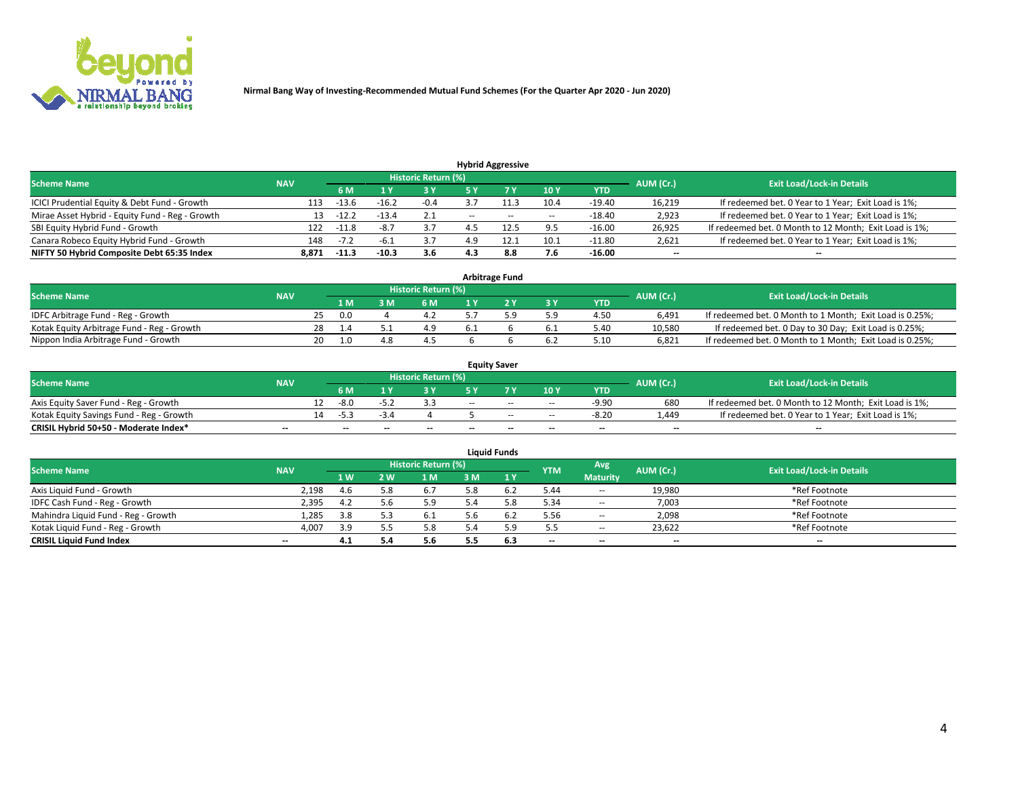

| <b>Hybrid Aggressive</b>                        |            |                                  |         |        |       |       |                          |          |                          |                                                        |  |  |  |
|-------------------------------------------------|------------|----------------------------------|---------|--------|-------|-------|--------------------------|----------|--------------------------|--------------------------------------------------------|--|--|--|
| <b>Scheme Name</b>                              | AUM (Cr.)  | <b>Exit Load/Lock-in Details</b> |         |        |       |       |                          |          |                          |                                                        |  |  |  |
|                                                 | <b>NAV</b> | 6 M                              |         | 3 Y    | 5 ۷   |       | 10Y                      | YTD      |                          |                                                        |  |  |  |
| ICICI Prudential Equity & Debt Fund - Growth    | 113        | $-13.6$                          | $-16.2$ | $-0.4$ |       |       | 10.4                     | $-19.40$ | 16,219                   | If redeemed bet. 0 Year to 1 Year; Exit Load is 1%;    |  |  |  |
| Mirae Asset Hybrid - Equity Fund - Reg - Growth | 13         | $-12.$                           | $-13.4$ | 2.1    | $- -$ | $- -$ | $\overline{\phantom{a}}$ | $-18.40$ | 2,923                    | If redeemed bet. 0 Year to 1 Year; Exit Load is 1%;    |  |  |  |
| SBI Equity Hybrid Fund - Growth                 | 122        | $-11.8$                          | -8.7    |        |       |       | 9.5                      | $-16.00$ | 26,925                   | If redeemed bet. 0 Month to 12 Month; Exit Load is 1%; |  |  |  |
| Canara Robeco Equity Hybrid Fund - Growth       | 148        | $-1.4$                           |         |        |       |       | 10.1                     | $-11.80$ | 2,621                    | If redeemed bet. 0 Year to 1 Year; Exit Load is 1%;    |  |  |  |
| NIFTY 50 Hybrid Composite Debt 65:35 Index      | 8,871      | $-11.3$                          | $-10.3$ | 3.6    | 4.3   | 8.8   | 7.6                      | $-16.00$ | $\overline{\phantom{a}}$ | --                                                     |  |  |  |

| <b>Arbitrage Fund</b>                      |            |     |         |  |                     |  |  |     |            |           |                                                          |  |  |
|--------------------------------------------|------------|-----|---------|--|---------------------|--|--|-----|------------|-----------|----------------------------------------------------------|--|--|
| <b>Scheme Name</b>                         | <b>NAV</b> |     |         |  | Historic Return (%) |  |  |     |            | AUM (Cr.) | <b>Exit Load/Lock-in Details</b>                         |  |  |
|                                            |            |     | 1 M     |  | 6 M                 |  |  | 3 Y | <b>YTD</b> |           |                                                          |  |  |
| IDFC Arbitrage Fund - Reg - Growth         |            | 25. | 0.0     |  |                     |  |  | 5.9 | 4.50       | 6.491     | If redeemed bet. 0 Month to 1 Month; Exit Load is 0.25%; |  |  |
| Kotak Equity Arbitrage Fund - Reg - Growth |            | 28  | 1.4     |  | 4.9                 |  |  | 6.1 | 5.40       | 10.580    | If redeemed bet. 0 Day to 30 Day; Exit Load is 0.25%;    |  |  |
| Nippon India Arbitrage Fund - Growth       |            | 20  | $1.0\,$ |  |                     |  |  | 6.2 | 5.10       | 6.821     | If redeemed bet. 0 Month to 1 Month; Exit Load is 0.25%; |  |  |

| <b>Equity Saver</b>                      |            |    |                          |                          |                     |        |       |                          |                          |           |                                                        |  |  |  |
|------------------------------------------|------------|----|--------------------------|--------------------------|---------------------|--------|-------|--------------------------|--------------------------|-----------|--------------------------------------------------------|--|--|--|
| <b>Scheme Name</b>                       | <b>NAV</b> |    |                          |                          | Historic Return (%) |        |       |                          |                          | AUM (Cr.) | <b>Exit Load/Lock-in Details</b>                       |  |  |  |
|                                          |            |    | 6 M                      |                          |                     | E V    |       | 10Y                      | <b>YTD</b>               |           |                                                        |  |  |  |
| Axis Equity Saver Fund - Reg - Growth    |            |    | -8.0                     | -5.                      |                     | $-$    | $-$   | $\overline{\phantom{a}}$ | $-9.90$                  | 680       | If redeemed bet. 0 Month to 12 Month; Exit Load is 1%; |  |  |  |
| Kotak Equity Savings Fund - Reg - Growth |            | 14 | -53                      | $-1$                     |                     |        | $-$   | $\sim$                   | $-8.20$                  | 1.449     | If redeemed bet. 0 Year to 1 Year; Exit Load is 1%;    |  |  |  |
| CRISIL Hybrid 50+50 - Moderate Index*    | $- -$      |    | $\overline{\phantom{a}}$ | $\overline{\phantom{a}}$ | $- -$               | $\sim$ | $- -$ | $\overline{\phantom{a}}$ | $\overline{\phantom{a}}$ | $- -$     | --                                                     |  |  |  |

| <b>Liquid Funds</b>                 |            |            |            |                            |     |     |            |                          |           |                                  |  |  |  |  |
|-------------------------------------|------------|------------|------------|----------------------------|-----|-----|------------|--------------------------|-----------|----------------------------------|--|--|--|--|
| <b>Scheme Name</b>                  | <b>NAV</b> |            |            | <b>Historic Return (%)</b> |     |     | <b>YTM</b> | Avg                      | AUM (Cr.) | <b>Exit Load/Lock-in Details</b> |  |  |  |  |
|                                     |            | <b>1 W</b> | $\sqrt{M}$ | 1 M                        | з м | 1Y  |            | <b>Maturity</b>          |           |                                  |  |  |  |  |
| Axis Liquid Fund - Growth           | 2,198      | 4.b        |            | 6.1                        | 5.8 | b.2 | 5.44       | $\overline{\phantom{a}}$ | 19,980    | *Ref Footnote                    |  |  |  |  |
| IDFC Cash Fund - Reg - Growth       | 2,395      | -4.2       |            | 5.9                        |     |     | 5.34       | $\sim$                   | 7,003     | *Ref Footnote                    |  |  |  |  |
| Mahindra Liquid Fund - Reg - Growth | 1,285      | 3.8        |            | b.l                        |     |     | 5.56       | $\sim$                   | 2,098     | *Ref Footnote                    |  |  |  |  |
| Kotak Liquid Fund - Reg - Growth    | 4,007      | 3.9        |            | 5.8                        | 5.4 |     | 5.5        | $\sim$                   | 23,622    | *Ref Footnote                    |  |  |  |  |
| <b>CRISIL Liquid Fund Index</b>     | $- -$      | 4.1        |            | 5.6                        |     | 6.3 | $- -$      | $- -$                    | $- -$     | $-$                              |  |  |  |  |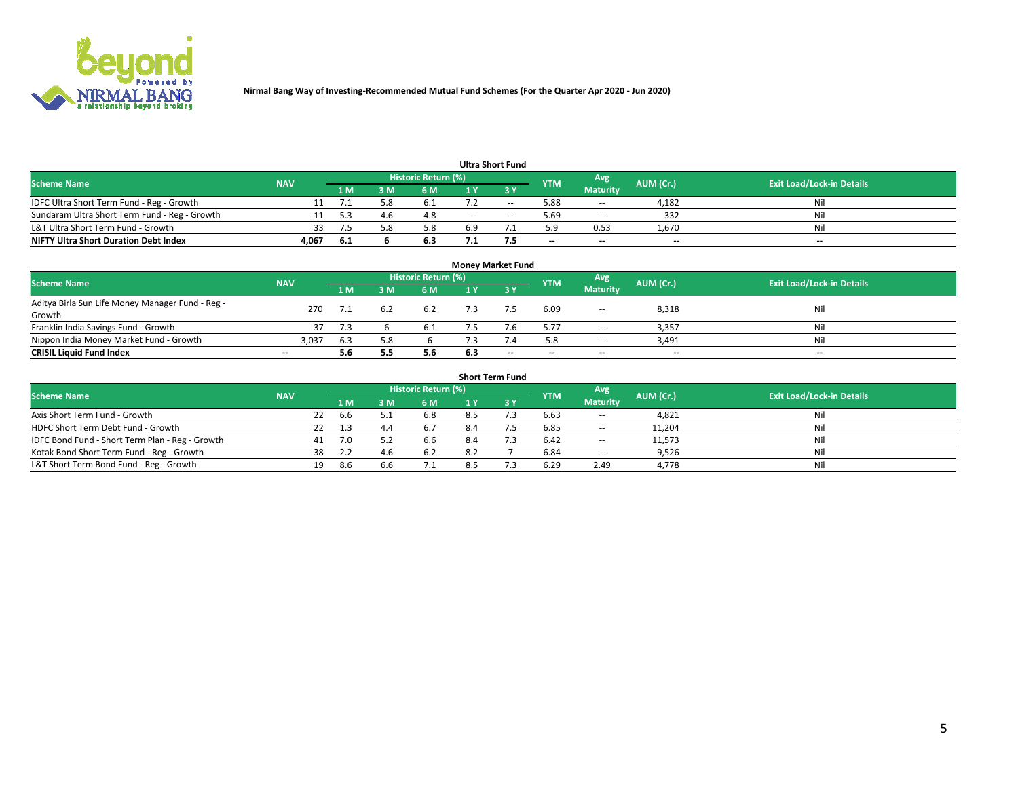

| <b>Ultra Short Fund</b>                       |            |       |  |                            |     |        |                          |                          |                          |                                  |  |  |  |  |
|-----------------------------------------------|------------|-------|--|----------------------------|-----|--------|--------------------------|--------------------------|--------------------------|----------------------------------|--|--|--|--|
| <b>Scheme Name</b>                            | <b>NAV</b> |       |  | <b>Historic Return (%)</b> |     |        | <b>YTM</b>               | Avg                      | AUM (Cr.)                | <b>Exit Load/Lock-in Details</b> |  |  |  |  |
|                                               |            | 1 M   |  | 6 M                        |     |        |                          | <b>Maturity</b>          |                          |                                  |  |  |  |  |
| IDFC Ultra Short Term Fund - Reg - Growth     |            |       |  | 0.1                        |     | $\sim$ | 5.88                     | $\sim$                   | 4,182                    | Nil                              |  |  |  |  |
| Sundaram Ultra Short Term Fund - Reg - Growth |            |       |  | 4.8                        | $-$ | $\sim$ | 5.69                     | $\overline{\phantom{a}}$ | 332                      | Nil                              |  |  |  |  |
| L&T Ultra Short Term Fund - Growth            | 33         |       |  | 5.8                        | 6.9 |        | 5.9                      | 0.53                     | 1,670                    | Nil                              |  |  |  |  |
| <b>NIFTY Ultra Short Duration Debt Index</b>  | 4,067      | - 6.1 |  | 6.3                        |     |        | $\overline{\phantom{a}}$ | $\overline{\phantom{a}}$ | $\overline{\phantom{a}}$ | $-$                              |  |  |  |  |

| <b>Money Market Fund</b>                         |                          |     |     |                            |     |                          |                          |                 |           |                                  |  |  |  |  |
|--------------------------------------------------|--------------------------|-----|-----|----------------------------|-----|--------------------------|--------------------------|-----------------|-----------|----------------------------------|--|--|--|--|
| <b>Scheme Name</b>                               | <b>NAV</b>               |     |     | <b>Historic Return (%)</b> |     |                          | <b>YTM</b>               | Avg             | AUM (Cr.) | <b>Exit Load/Lock-in Details</b> |  |  |  |  |
|                                                  |                          | 1 M | 3 M | 6 M                        | 1 Y | 3 Y                      |                          | <b>Maturity</b> |           |                                  |  |  |  |  |
| Aditya Birla Sun Life Money Manager Fund - Reg - | 270                      |     |     | 6.2                        |     |                          | 6.09                     |                 | 8,318     | Nil                              |  |  |  |  |
| Growth                                           |                          |     | 6.2 |                            |     |                          |                          | $- -$           |           |                                  |  |  |  |  |
| Franklin India Savings Fund - Growth             |                          |     |     |                            |     |                          | 5.77                     | $\sim$          | 3,357     | Nil                              |  |  |  |  |
| Nippon India Money Market Fund - Growth          | 3,037                    | 6.3 |     |                            |     |                          | 5.8                      | $\sim$          | 3,491     | Nil                              |  |  |  |  |
| <b>CRISIL Liquid Fund Index</b>                  | $\overline{\phantom{a}}$ | 5.6 |     | 5.6                        | 6.3 | $\overline{\phantom{a}}$ | $\overline{\phantom{a}}$ | $-$             | $- -$     | $-$                              |  |  |  |  |

| <b>Short Term Fund</b>                          |            |    |            |     |                            |     |             |            |                          |           |                                  |  |  |  |
|-------------------------------------------------|------------|----|------------|-----|----------------------------|-----|-------------|------------|--------------------------|-----------|----------------------------------|--|--|--|
| <b>Scheme Name</b>                              | <b>NAV</b> |    |            |     | <b>Historic Return (%)</b> |     |             | <b>YTM</b> | Avg                      | AUM (Cr.) | <b>Exit Load/Lock-in Details</b> |  |  |  |
|                                                 |            |    | <b>1 M</b> | 3 M | 6 M                        |     | <b>73 V</b> |            | <b>Maturity</b>          |           |                                  |  |  |  |
| Axis Short Term Fund - Growth                   |            | 22 | 6.6        |     | 6.8                        | 8.5 |             | 6.63       | $\overline{\phantom{a}}$ | 4,821     | Nil                              |  |  |  |
| HDFC Short Term Debt Fund - Growth              |            |    | 1.3        | 4.4 | 6.7                        | 8.4 |             | 6.85       | $\!-$                    | 11,204    | Nil                              |  |  |  |
| IDFC Bond Fund - Short Term Plan - Reg - Growth |            | 41 | 7.0        | 5.2 | 6.6                        | 8.4 |             | 6.42       | $\hspace{0.05cm} \ldots$ | 11,573    | Nil                              |  |  |  |
| Kotak Bond Short Term Fund - Reg - Growth       |            | 38 | 2.2        | 4.6 | 6.2                        | 8.2 |             | 6.84       | $\overline{\phantom{a}}$ | 9,526     | Nil                              |  |  |  |
| L&T Short Term Bond Fund - Reg - Growth         |            |    | 8.6        | 6.6 | 7.1                        |     |             | 6.29       | 2.49                     | 4,778     | Nil                              |  |  |  |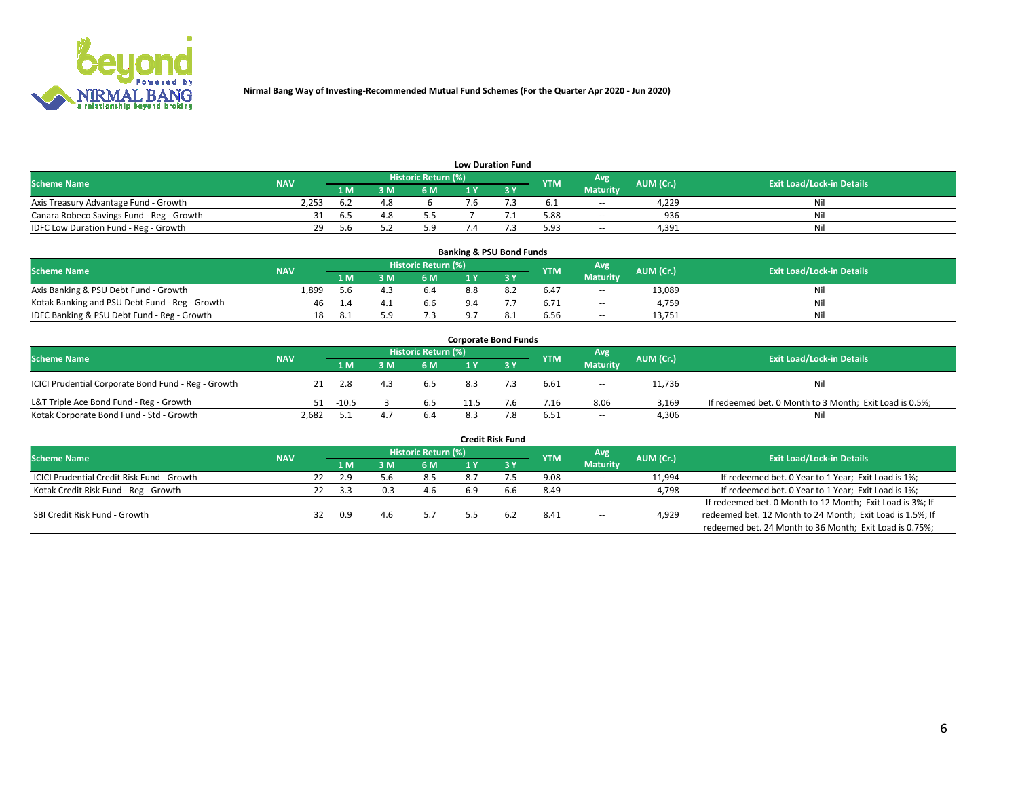

| <b>Low Duration Fund</b>                  |            |      |            |                     |  |  |            |                 |           |                                  |  |  |  |  |
|-------------------------------------------|------------|------|------------|---------------------|--|--|------------|-----------------|-----------|----------------------------------|--|--|--|--|
| <b>Scheme Name</b>                        | <b>NAV</b> |      |            | Historic Return (%) |  |  | <b>YTM</b> | Avg             | AUM (Cr.) | <b>Exit Load/Lock-in Details</b> |  |  |  |  |
|                                           |            | 1 M. | <b>እ M</b> | 6 M                 |  |  |            | <b>Maturity</b> |           |                                  |  |  |  |  |
| Axis Treasury Advantage Fund - Growth     | 2.253      | 6.2  |            |                     |  |  |            | $\sim$          | 4.229     | Nil                              |  |  |  |  |
| Canara Robeco Savings Fund - Reg - Growth |            | h.   |            | כ.כ                 |  |  | 5.88       | $\sim$          | 936       | Nil                              |  |  |  |  |
| IDFC Low Duration Fund - Reg - Growth     | 29         | 5 h  |            | 5.9                 |  |  | 5.93       | $\sim$          | 4.391     | Nil                              |  |  |  |  |

| <b>Banking &amp; PSU Bond Funds</b>            |            |      |     |                            |     |     |            |                          |           |                                  |  |  |  |  |
|------------------------------------------------|------------|------|-----|----------------------------|-----|-----|------------|--------------------------|-----------|----------------------------------|--|--|--|--|
| <b>Scheme Name</b>                             | <b>NAV</b> |      |     | <b>Historic Return (%)</b> |     |     | <b>YTM</b> | Avg                      | AUM (Cr.) | <b>Exit Load/Lock-in Details</b> |  |  |  |  |
|                                                |            | 1 M  | 8 M | 6 M                        |     |     |            | <b>Maturity</b>          |           |                                  |  |  |  |  |
| Axis Banking & PSU Debt Fund - Growth          | 1,899      | 5.6  |     | 6.4                        | 8.8 | 8.2 | 6.47       | $- -$                    | 13.089    | Ni                               |  |  |  |  |
| Kotak Banking and PSU Debt Fund - Reg - Growth | 46         |      |     | 6.6                        |     |     | 6.71       | $\overline{\phantom{a}}$ | 4.759     | Ni                               |  |  |  |  |
| IDFC Banking & PSU Debt Fund - Reg - Growth    | 18         | -8.1 |     |                            |     |     | 6.56       | $\sim$                   | 13.751    | Ni                               |  |  |  |  |

| <b>Corporate Bond Funds</b>                         |            |         |     |                     |      |     |            |                          |           |                                                         |  |  |  |  |
|-----------------------------------------------------|------------|---------|-----|---------------------|------|-----|------------|--------------------------|-----------|---------------------------------------------------------|--|--|--|--|
| <b>Scheme Name</b>                                  | <b>NAV</b> |         |     | Historic Return (%) |      |     | <b>YTM</b> | Avg                      | AUM (Cr.) | <b>Exit Load/Lock-in Details</b>                        |  |  |  |  |
|                                                     |            | '1 M    | 3M  | 6 M                 |      | 3Y  |            | <b>Maturity</b>          |           |                                                         |  |  |  |  |
| ICICI Prudential Corporate Bond Fund - Reg - Growth |            | 2.8     | 4.3 | 6.5                 | 8.3  |     | 6.61       | $\overline{\phantom{a}}$ | 11,736    | Nil                                                     |  |  |  |  |
| L&T Triple Ace Bond Fund - Reg - Growth             | 51         | $-10.5$ |     | 6.5                 | 11.5 | 7.6 | 7.16       | 8.06                     | 3,169     | If redeemed bet. 0 Month to 3 Month; Exit Load is 0.5%; |  |  |  |  |
| Kotak Corporate Bond Fund - Std - Growth            | 2,682      |         | 4.7 | 6.4                 | 8.3  | 7.8 | 6.51       | $- -$                    | 4,306     | Nil                                                     |  |  |  |  |

| <b>Credit Risk Fund</b>                           |            |    |      |  |                     |     |      |            |                          |           |                                                           |  |  |  |
|---------------------------------------------------|------------|----|------|--|---------------------|-----|------|------------|--------------------------|-----------|-----------------------------------------------------------|--|--|--|
| <b>Scheme Name</b>                                | <b>NAV</b> |    |      |  | Historic Return (%) |     |      | <b>YTM</b> | Avg                      | AUM (Cr.) | <b>Exit Load/Lock-in Details</b>                          |  |  |  |
|                                                   |            |    | 1 M. |  | <b>6 M</b>          |     | -3 Y |            | <b>Maturity</b>          |           |                                                           |  |  |  |
| <b>ICICI Prudential Credit Risk Fund - Growth</b> |            | 22 | 2.9  |  | 8.5                 | 8.7 |      | 9.08       | $\sim$                   | 11,994    | If redeemed bet. 0 Year to 1 Year; Exit Load is 1%;       |  |  |  |
| Kotak Credit Risk Fund - Reg - Growth             |            | 22 | 3.3  |  | 4.6                 | 6.9 |      | 8.49       | $\sim$                   | 4,798     | If redeemed bet. 0 Year to 1 Year; Exit Load is 1%;       |  |  |  |
|                                                   |            |    |      |  |                     |     |      |            |                          |           | If redeemed bet. 0 Month to 12 Month; Exit Load is 3%; If |  |  |  |
| SBI Credit Risk Fund - Growth                     |            | 32 | 0.9  |  |                     |     |      | 8.41       | $\overline{\phantom{a}}$ | 4,929     | redeemed bet. 12 Month to 24 Month; Exit Load is 1.5%; If |  |  |  |
|                                                   |            |    |      |  |                     |     |      |            |                          |           | redeemed bet. 24 Month to 36 Month; Exit Load is 0.75%;   |  |  |  |